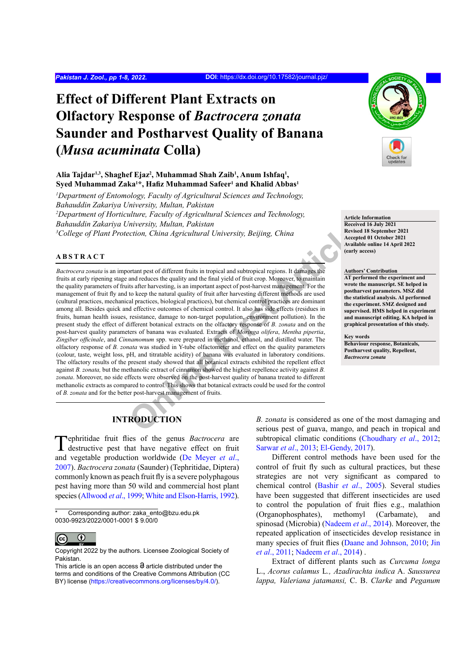# **Effect of Different Plant Extracts on Olfactory Response of** *Bactrocera zonata* **Saunder and Postharvest Quality of Banana (***Musa acuminata* **Colla)**

## Alia Tajdar<sup>1,3</sup>, Shaghef Ejaz<sup>2</sup>, Muhammad Shah Zaib<sup>1</sup>, Anum Ishfaq<sup>1</sup>, **Syed Muhammad Zaka1 \*, Hafiz Muhammad Safeer<sup>1</sup> and Khalid Abbas1**

*1 Department of Entomology, Faculty of Agricultural Sciences and Technology, Bahauddin Zakariya University, Multan, Pakistan 2 Department of Horticulture, Faculty of Agricultural Sciences and Technology,* 

*Bahauddin Zakariya University, Multan, Pakistan*

*3 College of Plant Protection, China Agricultural University, Beijing, China*

## **ABSTRACT**

*Mixerially, Muttan, Pakislan*<br> *Cection, China Agricultural University, Beijing, China*<br> **Exception and and article article** and and the strained and and reduces the quality and the final yield of futit crop. Moreover, to *Bactrocera zonata* is an important pest of different fruits in tropical and subtropical regions. It damages the fruits at early ripening stage and reduces the quality and the final yield of fruit crop. Moreover, to maintain the quality parameters of fruits after harvesting, is an important aspect of post-harvest management. For the management of fruit fly and to keep the natural quality of fruit after harvesting different methods are used (cultural practices, mechanical practices, biological practices), but chemical control practices are dominant among all. Besides quick and effective outcomes of chemical control. It also has side effects (residues in fruits, human health issues, resistance, damage to non-target population, environment pollution). In the present study the effect of different botanical extracts on the olfactory response of *B. zonata* and on the post-harvest quality parameters of banana was evaluated. Extracts of *Moringa olifera*, *Mentha pipertia*, *Zingiber officinale*, and *Cinnamomum* spp. were prepared in methanol, ethanol, and distilled water. The olfactory response of *B. zonata* was studied in Y-tube olfactometer and effect on the quality parameters (colour, taste, weight loss, pH, and titratable acidity) of banana was evaluated in laboratory conditions. The olfactory results of the present study showed that all botanical extracts exhibited the repellent effect against *B. zonata,* but the methanolic extract of cinnamon showed the highest repellence activity against *B. zonata*. Moreover, no side effects were observed on the post-harvest quality of banana treated to different methanolic extracts as compared to control. This shows that botanical extracts could be used for the control of *B. zonata* and for the better post-harvest management of fruits.



#### **Article Information**

**Received 16 July 2021 Revised 18 September 2021 Accepted 01 October 2021 Available online 14 April 2022 (early access)**

#### **Authors' Contribution**

**AT performed the experiment and wrote the manuscript. SE helped in postharvest parameters. MSZ did the statistical analysis. AI performed the experiment. SMZ designed and supervised. HMS helped in experiment and manuscript editing. KA helped in graphical presentation of this study.**

#### **Key words**

**Behaviour response, Botanicals, Postharvest quality, Repellent,**  *Bactrocera zonata*

# **INTRODUCTION**

Tephritidae fruit flies of the genus *Bactrocera* are destructive pest that have negative effect on fruit and vegetable production worldwide ([De Meyer](#page-6-0) *et al*., [2007](#page-6-0)). *Bactrocera zonata* (Saunder) (Tephritidae, Diptera) commonly known as peach fruit fly is a severe polyphagous pest having more than 50 wild and commercial host plant species ([Allwood](#page-5-0) *et al*., 1999; [White and Elson-Harris, 1992\)](#page-7-0).

Corresponding author: zaka\_ento@bzu.edu.pk 0030-9923/2022/0001-0001 \$ 9.00/0



Copyright 2022 by the authors. Licensee Zoological Society of Pakistan.

*B. zonata* is considered as one of the most damaging and serious pest of guava, mango, and peach in tropical and subtropical climatic conditions [\(Choudhary](#page-5-1) *et al*., 2012; [Sarwar](#page-7-1) *et al*., 2013; [El-Gendy, 2017](#page-6-1)).

Different control methods have been used for the control of fruit fly such as cultural practices, but these strategies are not very significant as compared to chemical control (Bashir *et al*[., 2005\)](#page-5-2). Several studies have been suggested that different insecticides are used to control the population of fruit flies e.g., malathion (Organophosphates), methomyl (Carbamate), and spinosad (Microbia) ([Nadeem](#page-6-2) *et al*., 2014). Moreover, the repeated application of insecticides develop resistance in many species of fruit flies [\(Daane and Johnson, 2010](#page-6-3); [Jin](#page-6-4) *et al*[., 2011](#page-6-4); [Nadeem](#page-6-2) *et al*., 2014) .

Extract of different plants such as *Curcuma longa* L., *Acorus calamus* L*., Azadirachta indica* A. *Saussurea lappa, Valeriana jatamansi,* C. B. *Clarke* and *Peganum* 

This article is an open access  $\Theta$  article distributed under the terms and conditions of the Creative Commons Attribution (CC BY) license (https://creativecommons.org/licenses/by/4.0/).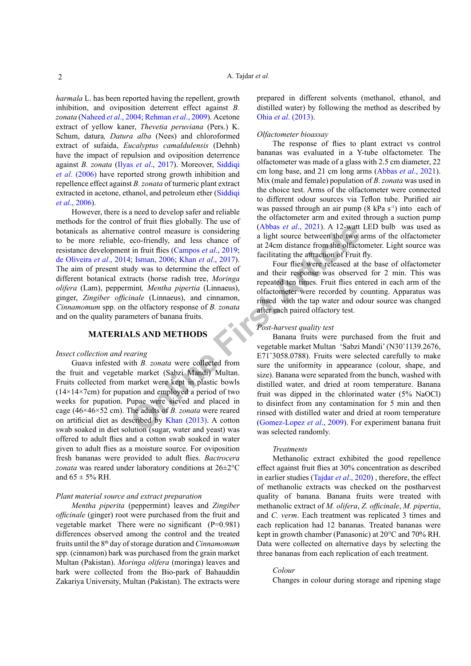*harmala* L. has been reported having the repellent, growth inhibition, and oviposition deterrent effect against *B. zonata* ([Naheed](#page-6-5) *et al*., 2004; [Rehman](#page-7-2) *et al*., 2009). Acetone extract of yellow kaner, *Thevetia peruviana* (Pers.) K. Schum, datura*, Datura alba* (Nees) and chloroformed extract of sufaida, *Eucalyptus camaldulensis* (Dehnh) have the impact of repulsion and oviposition deterrence against *B. zonata* (Ilyas *et al*[., 2017](#page-6-6)). Moreover, [Siddiqi](#page-7-3) *et al*[. \(2006\)](#page-7-3) have reported strong growth inhibition and repellence effect against *B. zonata* of turmeric plant extract extracted in acetone, ethanol, and petroleum ether ([Siddiqi](#page-7-3) *et al*[., 2006\)](#page-7-3).

**EXECUTE THOIS**<br>
Sect al., 2021). A 12-watt<br>
reco-frie[n](#page-6-10)dly, and less chance of<br>
taxe a light source between the two<br>
text in fruit flies (Campos *et al.*, 2017).<br>
<br> **Altarential taxe from the offect of**<br> **Altarential taxe** However, there is a need to develop safer and reliable methods for the control of fruit flies globally. The use of botanicals as alternative control measure is considering to be more reliable, eco-friendly, and less chance of resistance development in fruit flies (Campos *et al*., 2019; [de Oliveira](#page-6-7) *et al*., 2014; Isman, 2006; Khan *et al*., 2017). The aim of present study was to determine the effect of different botanical extracts (horse radish tree, *Moringa olifera* (Lam), peppermint*, Mentha pipertia* (Linnaeus), ginger, *Zingiber officinale* (Linnaeus), and cinnamon, *Cinnamomum* spp. on the olfactory response of *B. zonata* and on the quality parameters of banana fruits.

### **MATERIALS AND METHODS**

#### *Insect collection and rearing*

Guava infested with *B. zonata* were collected from the fruit and vegetable market (Sabzi Mandi) Multan. Fruits collected from market were kept in plastic bowls  $(14\times14\times7cm)$  for pupation and employed a period of two weeks for pupation. Pupae were sieved and placed in cage (46×46×52 cm). The adults of *B. zonata* were reared on artificial diet as described by Khan (2013). A cotton swab soaked in diet solution (sugar, water and yeast) was offered to adult flies and a cotton swab soaked in water given to adult flies as a moisture source. For oviposition fresh bananas were provided to adult flies. *Bactrocera zonata* was reared under laboratory conditions at 26±2°C and  $65 \pm 5\%$  RH.

#### *Plant material source and extract preparation*

*Mentha piperita* (peppermint) leaves and *Zingiber officinale* (ginger) root were purchased from the fruit and vegetable market There were no significant (P=0.981) differences observed among the control and the treated fruits until the 8th day of storage duration and *Cinnamomum*  spp. (cinnamon) bark was purchased from the grain market Multan (Pakistan). *Moringa olifera* (moringa) leaves and bark were collected from the Bio-park of Bahauddin Zakariya University, Multan (Pakistan). The extracts were prepared in different solvents (methanol, ethanol, and distilled water) by following the method as described by Ohia *et al*[. \(2013\)](#page-7-4).

#### *Olfactometer bioassay*

The response of flies to plant extract vs control bananas was evaluated in a Y-tube olfactometer. The olfactometer was made of a glass with 2.5 cm diameter, 22 cm long base, and 21 cm long arms ([Abbas](#page-5-3) *et al*., 2021). Mix (male and female) population of *B. zonata* was used in the choice test. Arms of the olfactometer were connected to different odour sources via Teflon tube. Purified air was passed through an air pump  $(8 \text{ kPa s}^{-1})$  into each of the olfactometer arm and exited through a suction pump (Abbas *et al*., 2021). A 12-watt LED bulb was used as a light source between the two arms of the olfactometer at 24cm distance from the olfactometer. Light source was facilitating the attraction of Fruit fly.

Four flies were released at the base of olfactometer and their response was observed for 2 min. This was repeated ten times. Fruit flies entered in each arm of the olfactometer were recorded by counting. Apparatus was rinsed with the tap water and odour source was changed after each paired olfactory test.

#### *Post-harvest quality test*

Banana fruits were purchased from the fruit and vegetable market Multan 'Sabzi Mandi' (N30˚1139.2676, E71˚3058.0788). Fruits were selected carefully to make sure the uniformity in appearance (colour, shape, and size). Banana were separated from the bunch, washed with distilled water, and dried at room temperature. Banana fruit was dipped in the chlorinated water (5% NaOCl) to disinfect from any contamination for 5 min and then rinsed with distilled water and dried at room temperature (Gomez-Lopez *et al*., 2009). For experiment banana fruit was selected randomly.

#### *Treatments*

Methanolic extract exhibited the good repellence effect against fruit flies at 30% concentration as described in earlier studies ([Tajdar](#page-7-5) *et al*., 2020) , therefore, the effect of methanolic extracts was checked on the postharvest quality of banana. Banana fruits were treated with methanolic extract of *M. olifera*, *Z. officinale*, *M. pipertia*, and *C. verm*. Each treatment was replicated 3 times and each replication had 12 bananas. Treated bananas were kept in growth chamber (Panasonic) at 20°C and 70% RH. Data were collected on alternative days by selecting the three bananas from each replication of each treatment.

#### *Colour*

Changes in colour during storage and ripening stage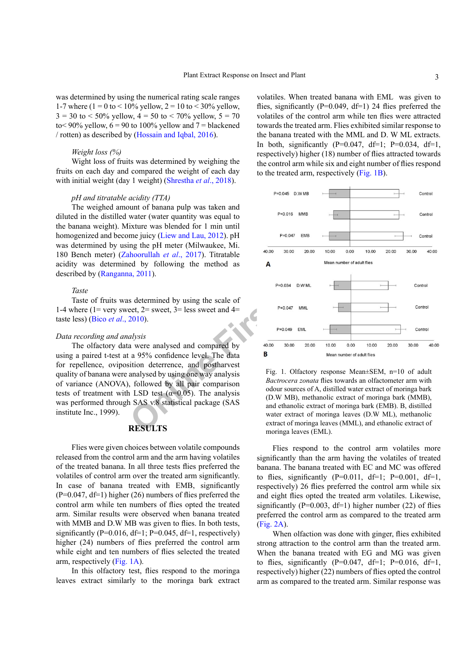was determined by using the numerical rating scale ranges 1-7 where (1 = 0 to < 10% yellow, 2 = 10 to < 30% yellow,  $3 = 30$  to < 50% yellow,  $4 = 50$  to < 70% yellow,  $5 = 70$ to< 90% yellow,  $6 = 90$  to 100% yellow and  $7 = \text{blackened}$ / rotten) as described by ([Hossain and Iqbal, 2016\)](#page-6-12).

#### *Weight loss (%)*

Wight loss of fruits was determined by weighing the fruits on each day and compared the weight of each day with initial weight (day 1 weight) ([Shrestha](#page-7-6) *et al*., 2018).

#### *pH and titratable acidity (TTA)*

The weighed amount of banana pulp was taken and diluted in the distilled water (water quantity was equal to the banana weight). Mixture was blended for 1 min until homogenized and become juicy (Liew and Lau, 2012). pH was determined by using the pH meter (Milwaukee, Mi. 180 Bench meter) (Zahoorullah *et al*., 2017). Titratable acidity was determined by following the method as described by ([Ranganna, 2011\)](#page-7-8).

#### *Taste*

Taste of fruits was determined by using the scale of 1-4 where (1= very sweet,  $2=$  sweet,  $3=$  less sweet and  $4=$ taste less) (Bico *et al*[., 2010](#page-5-4)).

#### *Data recording and analysis*

The olfactory data were analysed and compared by using a paired t-test at a 95% confidence level. The data for repellence, oviposition deterrence, and postharvest quality of banana were analysed by using one way analysis of variance (ANOVA), followed by all pair comparison tests of treatment with LSD test ( $\alpha$ =0.05). The analysis was performed through SAS v.8 statistical package (SAS institute Inc., 1999).

## **RESULTS**

Flies were given choices between volatile compounds released from the control arm and the arm having volatiles of the treated banana. In all three tests flies preferred the volatiles of control arm over the treated arm significantly. In case of banana treated with EMB, significantly  $(P=0.047, df=1)$  higher (26) numbers of flies preferred the control arm while ten numbers of flies opted the treated arm. Similar results were observed when banana treated with MMB and D.W MB was given to flies. In both tests, significantly ( $P=0.016$ ,  $df=1$ ;  $P=0.045$ ,  $df=1$ , respectively) higher (24) numbers of flies preferred the control arm while eight and ten numbers of flies selected the treated arm, respectively [\(Fig. 1A\)](#page-2-0).

In this olfactory test, flies respond to the moringa leaves extract similarly to the moringa bark extract

volatiles. When treated banana with EML was given to flies, significantly ( $P=0.049$ ,  $df=1$ ) 24 flies preferred the volatiles of the control arm while ten flies were attracted towards the treated arm. Flies exhibited similar response to the banana treated with the MML and D. W ML extracts. In both, significantly  $(P=0.047, df=1$ ;  $P=0.034, df=1$ , respectively) higher (18) number of flies attracted towards the control arm while six and eight number of flies respond to the treated arm, respectively [\(Fig. 1B](#page-2-0)).



<span id="page-2-0"></span>Fig. 1. Olfactory response Mean±SEM, n=10 of adult *Bactrocera zonata* flies towards an olfactometer arm with odour sources of A, distilled water extract of moringa bark (D.W MB), methanolic extract of moringa bark (MMB), and ethanolic extract of moringa bark (EMB). B, distilled water extract of moringa leaves (D.W ML), methanolic extract of moringa leaves (MML), and ethanolic extract of moringa leaves (EML).

Flies respond to the control arm volatiles more significantly than the arm having the volatiles of treated banana. The banana treated with EC and MC was offered to flies, significantly  $(P=0.011, df=1; P=0.001, df=1,$ respectively) 26 flies preferred the control arm while six and eight flies opted the treated arm volatiles. Likewise, significantly ( $P=0.003$ , df=1) higher number (22) of flies preferred the control arm as compared to the treated arm ([Fig. 2A\)](#page-3-0).

When olfaction was done with ginger, flies exhibited strong attraction to the control arm than the treated arm. When the banana treated with EG and MG was given to flies, significantly  $(P=0.047, df=1; P=0.016, df=1,$ respectively) higher (22) numbers of flies opted the control arm as compared to the treated arm. Similar response was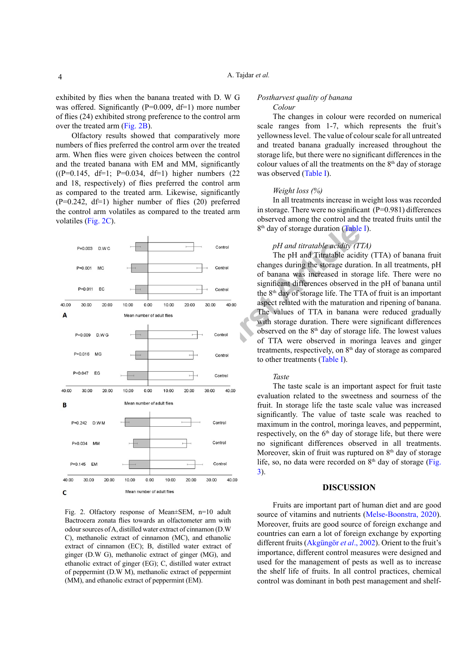exhibited by flies when the banana treated with D. W G was offered. Significantly (P=0.009, df=1) more number of flies (24) exhibited strong preference to the control arm over the treated arm ([Fig. 2](#page-3-0)B).

Olfactory results showed that comparatively more numbers of flies preferred the control arm over the treated arm. When flies were given choices between the control and the treated banana with EM and MM, significantly  $((P=0.145, df=1; P=0.034, df=1)$  higher numbers  $(22)$ and 18, respectively) of flies preferred the control arm as compared to the treated arm. Likewise, significantly  $(P=0.242, df=1)$  higher number of flies  $(20)$  preferred the control arm volatiles as compared to the treated arm volatiles [\(Fig. 2C](#page-3-0)).



<span id="page-3-0"></span>Fig. 2. Olfactory response of Mean±SEM, n=10 adult Bactrocera zonata flies towards an olfactometer arm with odour sources of A, distilled water extract of cinnamon (D.W C), methanolic extract of cinnamon (MC), and ethanolic extract of cinnamon (EC); B, distilled water extract of ginger (D.W G), methanolic extract of ginger (MG), and ethanolic extract of ginger (EG); C, distilled water extract of peppermint (D.W M), methanolic extract of peppermint (MM), and ethanolic extract of peppermint (EM).

## *Postharvest quality of banana*

#### *Colour*

The changes in colour were recorded on numerical scale ranges from 1-7, which represents the fruit's yellowness level. The value of colour scale for all untreated and treated banana gradually increased throughout the storage life, but there were no significant differences in the colour values of all the treatments on the  $8<sup>th</sup>$  day of storage was observed [\(Table I](#page-4-0)).

#### *Weight loss (%)*

In all treatments increase in weight loss was recorded in storage. There were no significant (P=0.981) differences observed among the control and the treated fruits until the 8<sup>th</sup> day of storage duration (Table I).

## *pH and titratable acidity (TTA)*

The pH and Titratable acidity (TTA) of banana fruit changes during the storage duration. In all treatments, pH of banana was increased in storage life. There were no significant differences observed in the pH of banana until the  $8<sup>th</sup>$  day of storage life. The TTA of fruit is an important aspect related with the maturation and ripening of banana. The values of TTA in banana were reduced gradually with storage duration. There were significant differences observed on the 8th day of storage life. The lowest values of TTA were observed in moringa leaves and ginger treatments, respectively, on 8<sup>th</sup> day of storage as compared to other treatments (Table I).

#### *Taste*

The taste scale is an important aspect for fruit taste evaluation related to the sweetness and sourness of the fruit. In storage life the taste scale value was increased significantly. The value of taste scale was reached to maximum in the control, moringa leaves, and peppermint, respectively, on the 6<sup>th</sup> day of storage life, but there were no significant differences observed in all treatments. Moreover, skin of fruit was ruptured on  $8<sup>th</sup>$  day of storage life, so, no data were recorded on  $8<sup>th</sup>$  day of storage (Fig. [3](#page-4-1)).

#### **DISCUSSION**

Fruits are important part of human diet and are good source of vitamins and nutrients ([Melse-Boonstra, 2020](#page-6-14)). Moreover, fruits are good source of foreign exchange and countries can earn a lot of foreign exchange by exporting different fruits (Akgüngör *et al*., 2002). Orient to the fruit's importance, different control measures were designed and used for the management of pests as well as to increase the shelf life of fruits. In all control practices, chemical control was dominant in both pest management and shelf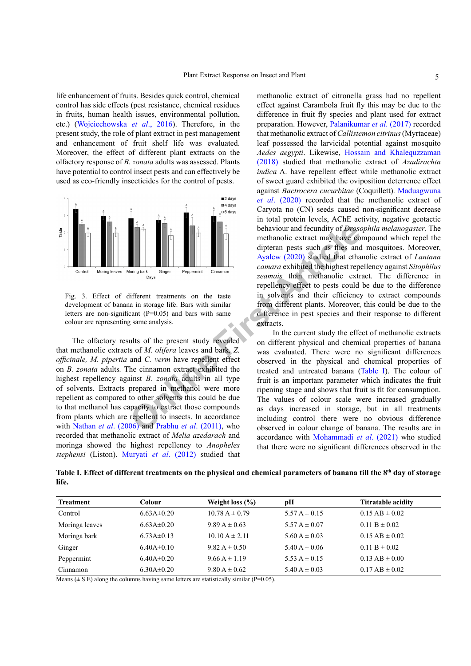life enhancement of fruits. Besides quick control, chemical control has side effects (pest resistance, chemical residues in fruits, human health issues, environmental pollution, etc.) (Wojciechowska *et al*., 2016). Therefore, in the present study, the role of plant extract in pest management and enhancement of fruit shelf life was evaluated. Moreover, the effect of different plant extracts on the olfactory response of *B. zonata* adults was assessed. Plants have potential to control insect pests and can effectively be used as eco-friendly insecticides for the control of pests.



<span id="page-4-1"></span>Fig. 3. Effect of different treatments on the taste development of banana in storage life. Bars with similar letters are non-significant  $(P=0.05)$  and bars with same colour are representing same analysis.

The olfactory results of the present study revealed that methanolic extracts of *M. olifera* leaves and bark*, Z. officinale, M. pipertia* and *C. verm* have repellent effect on *B. zonata* adults*.* The cinnamon extract exhibited the highest repellency against *B. zonata* adults in all type of solvents. Extracts prepared in methanol were more repellent as compared to other solvents this could be due to that methanol has capacity to extract those compounds from plants which are repellent to insects. In accordance with Nathan *et al*[. \(2006\)](#page-7-9) and Prabhu *et al*. (2011), who recorded that methanolic extract of *Melia azedarach* and moringa showed the highest repellency to *Anopheles stephensi* (Liston). [Muryati](#page-6-15) *et al*. (2012) studied that

**Par[t](#page-5-5)icular Constrained Constrained School (First Arbonson Constrained Constrained Constrained Constrained Constrained Constrained Constrained Constrained Constrained Constrained Constrained Constrained Constrained Constra** methanolic extract of citronella grass had no repellent effect against Carambola fruit fly this may be due to the difference in fruit fly species and plant used for extract preparation. However, [Palanikumar](#page-7-11) *et al*. (2017) recorded that methanolic extract of *Callistemon citrinus* (Myrtaceae) leaf possessed the larvicidal potential against mosquito *Aedes aegypti*. Likewise, [Hossain and Khalequzzaman](#page-6-16) [\(2018\)](#page-6-16) studied that methanolic extract of *Azadirachta indica* A. have repellent effect while methanolic extract of sweet guard exhibited the oviposition deterrence effect against *Bactrocera cucurbitae* (Coquillett). [Maduagwuna](#page-6-17) *et al*[. \(2020\)](#page-6-17) recorded that the methanolic extract of Caryota no (CN) seeds caused non-significant decrease in total protein levels, AChE activity, negative geotactic behaviour and fecundity of *Drosophila melanogaster*. The methanolic extract may have compound which repel the dipteran pests such as flies and mosquitoes. Moreover, Ayalew (2020) studied that ethanolic extract of *Lantana camara* exhibited the highest repellency against *Sitophilus zeamais* than methanolic extract. The difference in repellency effect to pests could be due to the difference in solvents and their efficiency to extract compounds from different plants. Moreover, this could be due to the difference in pest species and their response to different extracts.

In the current study the effect of methanolic extracts on different physical and chemical properties of banana was evaluated. There were no significant differences observed in the physical and chemical properties of treated and untreated banana ([Table I\)](#page-4-0). The colour of fruit is an important parameter which indicates the fruit ripening stage and shows that fruit is fit for consumption. The values of colour scale were increased gradually as days increased in storage, but in all treatments including control there were no obvious difference observed in colour change of banana. The results are in accordance with [Mohammadi](#page-6-18) *et al*. (2021) who studied that there were no significant differences observed in the

<span id="page-4-0"></span>Table I. Effect of different treatments on the physical and chemical parameters of banana till the 8<sup>th</sup> day of storage **life.**

| <b>Treatment</b> | Colour           | Weight loss $(\% )$ | pН                | <b>Titratable acidity</b> |
|------------------|------------------|---------------------|-------------------|---------------------------|
| Control          | $6.63A\pm0.20$   | $10.78 A \pm 0.79$  | 5.57 A $\pm$ 0.15 | $0.15 AB \pm 0.02$        |
| Moringa leaves   | $6.63A\pm0.20$   | $9.89 A \pm 0.63$   | 5.57 A $\pm$ 0.07 | $0.11 B \pm 0.02$         |
| Moringa bark     | $6.73A \pm 0.13$ | $10.10 A \pm 2.11$  | $5.60 A \pm 0.03$ | $0.15$ AB $\pm$ 0.02      |
| Ginger           | $6.40A\pm0.10$   | $9.82 A \pm 0.50$   | $5.40 A \pm 0.06$ | $0.11 B \pm 0.02$         |
| Peppermint       | $6.40A\pm0.20$   | $9.66 A \pm 1.19$   | 5.53 A $\pm$ 0.15 | $0.13$ AB $\pm 0.00$      |
| Cinnamon         | $6.30A\pm0.20$   | $9.80 A \pm 0.62$   | $5.40 A \pm 0.03$ | $0.17$ AB $\pm$ 0.02      |

Means  $(\pm S.E)$  along the columns having same letters are statistically similar (P=0.05).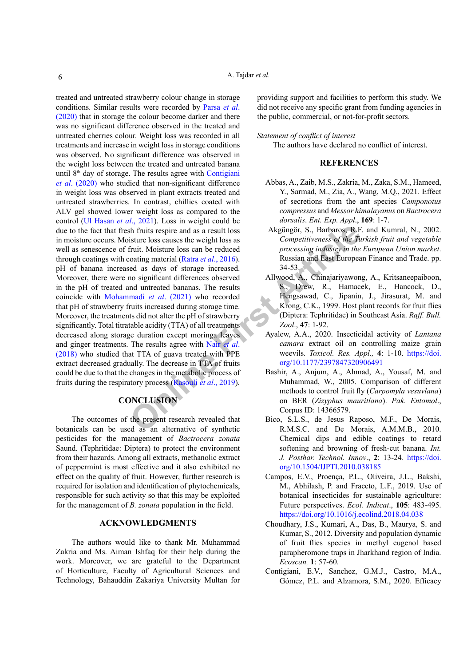[Fi](#page-6-19)g. Total Schematics and Schematics and Schematics Corputative and Schematics (Mate and Captaceal Article Continuity and Schematics Consideration of the and Schematics Article<br>
Schematics Article and Schematics (Mate and treated and untreated strawberry colour change in storage conditions. Similar results were recorded by [Parsa](#page-7-12) *et al*. [\(2020\)](#page-7-12) that in storage the colour become darker and there was no significant difference observed in the treated and untreated cherries colour. Weight loss was recorded in all treatments and increase in weight loss in storage conditions was observed. No significant difference was observed in the weight loss between the treated and untreated banana until  $8<sup>th</sup>$  day of storage. The results agree with Contigiani *et al*. (2020) who studied that non-significant difference in weight loss was observed in plant extracts treated and untreated strawberries. In contrast, chillies coated with ALV gel showed lower weight loss as compared to the control ([Ul Hasan](#page-7-13) *et al*., 2021). Loss in weight could be due to the fact that fresh fruits respire and as a result loss in moisture occurs. Moisture loss causes the weight loss as well as senescence of fruit. Moisture loss can be reduced through coatings with coating material (Ratra *et al*., 2016). pH of banana increased as days of storage increased. Moreover, there were no significant differences observed in the pH of treated and untreated bananas. The results coincide with Mohammadi *et al*. (2021) who recorded that pH of strawberry fruits increased during storage time. Moreover, the treatments did not alter the pH of strawberry significantly. Total titratable acidity (TTA) of all treatments decreased along storage duration except moringa leaves and ginger treatments. The results agree with Nair *et al*. [\(2018\)](#page-6-19) who studied that TTA of guava treated with PPE extract decreased gradually. The decrease in TTA of fruits could be due to that the changes in the metabolic process of fruits during the respiratory process (Rasouli *et al*., 2019).

## **CONCLUSION**

The outcomes of the present research revealed that botanicals can be used as an alternative of synthetic pesticides for the management of *Bactrocera zonata* Saund. (Tephritidae: Diptera) to protect the environment from their hazards. Among all extracts, methanolic extract of peppermint is most effective and it also exhibited no effect on the quality of fruit. However, further research is required for isolation and identification of phytochemicals, responsible for such activity so that this may be exploited for the management of *B. zonata* population in the field.

## **ACKNOWLEDGMENTS**

The authors would like to thank Mr. Muhammad Zakria and Ms. Aiman Ishfaq for their help during the work. Moreover, we are grateful to the Department of Horticulture, Faculty of Agricultural Sciences and Technology, Bahauddin Zakariya University Multan for

providing support and facilities to perform this study. We did not receive any specific grant from funding agencies in the public, commercial, or not-for-profit sectors.

## *Statement of conflict of interest*

The authors have declared no conflict of interest.

## **REFERENCES**

- <span id="page-5-3"></span>Abbas, A., Zaib, M.S., Zakria, M., Zaka, S.M., Hameed, Y., Sarmad, M., Zia, A., Wang, M.Q., 2021. Effect of secretions from the ant species *Camponotus compressus* and *Messor himalayanus* on *Bactrocera dorsalis*. *Ent. Exp. Appl*., **169**: 1-7.
- Akgüngör, S., Barbaros, R.F. and Kumral, N., 2002. *Competitiveness of the Turkish fruit and vegetable processing industry in the European Union market*. Russian and East European Finance and Trade. pp. 34-53.
- <span id="page-5-0"></span>Allwood, A., Chinajariyawong, A., Kritsaneepaiboon, S., Drew, R., Hamacek, E., Hancock, D., Hengsawad, C., Jipanin, J., Jirasurat, M. and Krong, C.K., 1999. Host plant records for fruit flies (Diptera: Tephritidae) in Southeast Asia. *Raff. Bull. Zool*., **47**: 1-92.
- <span id="page-5-5"></span>Ayalew, A.A., 2020. Insecticidal activity of *Lantana camara* extract oil on controlling maize grain weevils. *Toxicol. Res. Appl.,* **4**: 1-10. [https://doi.](https://doi.org/10.1177/2397847320906491) org/10.1177/2397847320906491
- <span id="page-5-2"></span>Bashir, A., Anjum, A., Ahmad, A., Yousaf, M. and Muhammad, W., 2005. Comparison of different methods to control fruit fly (*Carpomyla vesuvlana*) on BER (*Zizyphus mauritlana*). *Pak. Entomol*., Corpus ID: 14366579.
- <span id="page-5-4"></span>Bico, S.L.S., de Jesus Raposo, M.F., De Morais, R.M.S.C. and De Morais, A.M.M.B., 2010. Chemical dips and edible coatings to retard softening and browning of fresh-cut banana. *Int. J. Posthar. Technol. Innov*., **2**: 13-24. [https://doi.](https://doi.org/10.1504/IJPTI.2010.038185) [org/10.1504/IJPTI.2010.038185](https://doi.org/10.1504/IJPTI.2010.038185)
- Campos, E.V., Proença, P.L., Oliveira, J.L., Bakshi, M., Abhilash, P. and Fraceto, L.F., 2019. Use of botanical insecticides for sustainable agriculture: Future perspectives. *Ecol. Indicat*., **105**: 483-495. <https://doi.org/10.1016/j.ecolind.2018.04.038>
- <span id="page-5-1"></span>Choudhary, J.S., Kumari, A., Das, B., Maurya, S. and Kumar, S., 2012. Diversity and population dynamic of fruit flies species in methyl eugenol based parapheromone traps in Jharkhand region of India. *Ecoscan,* **1**: 57-60.
- Contigiani, E.V., Sanchez, G.M.J., Castro, M.A., Gómez, P.L. and Alzamora, S.M., 2020. Efficacy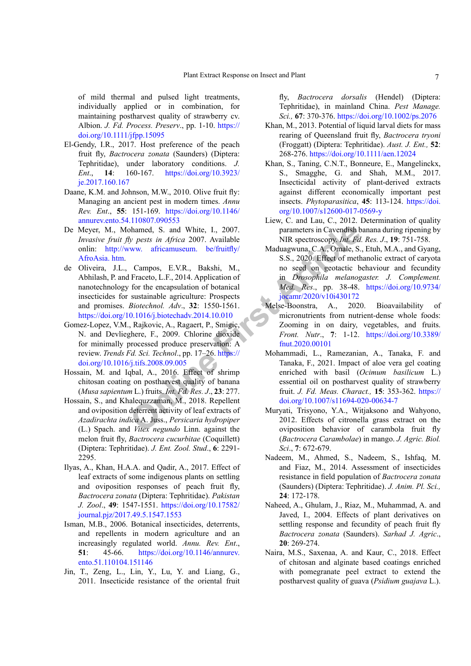of mild thermal and pulsed light treatments, individually applied or in combination, for maintaining postharvest quality of strawberry cv. Albion. *J. Fd. Process. Preserv*., pp. 1-10. [https://](https://doi.org/10.1111/jfpp.15095) [doi.org/10.1111/jfpp.15095](https://doi.org/10.1111/jfpp.15095)

- <span id="page-6-1"></span>El-Gendy, I.R., 2017. Host preference of the peach fruit fly, *Bactrocera zonata* (Saunders) (Diptera: Tephritidae), under laboratory conditions. *J. Ent*., **14**: 160-167. [https://doi.org/10.3923/](https://doi.org/10.3923/je.2017.160.167) [je.2017.160.167](https://doi.org/10.3923/je.2017.160.167)
- <span id="page-6-3"></span>Daane, K.M. and Johnson, M.W., 2010. Olive fruit fly: Managing an ancient pest in modern times. *Annu Rev. Ent*., **55**: 151-169. [https://doi.org/10.1146/](https://doi.org/10.1146/annurev.ento.54.110807.090553) [annurev.ento.54.110807.090553](https://doi.org/10.1146/annurev.ento.54.110807.090553)
- <span id="page-6-7"></span>De Meyer, M., Mohamed, S. and White, I., 2007. *Invasive fruit fly pests in Africa* 2007. Available onlin: http://www. africamuseum. be/fruitfly/ [AfroAsia. htm.](http://www. africamuseum. be/fruitfly/AfroAsia. htm)
- <span id="page-6-0"></span>Solu[t](https://doi.org/10.9734/jocamr/2020/v10i430172)ion [A](https://doi.org/10.9734/jocamr/2020/v10i430172)ssumed, S. and White, I., 2007. <br>
Dependent of the action of the manneal of the transition of the transition of the manneal of the encapsulation of the encapsulation of the encapsulation of the encapsulation of t de Oliveira, J.L., Campos, E.V.R., Bakshi, M., Abhilash, P. and Fraceto, L.F., 2014. Application of nanotechnology for the encapsulation of botanical insecticides for sustainable agriculture: Prospects and promises. *Biotechnol. Adv*., **32**: 1550-1561. <https://doi.org/10.1016/j.biotechadv.2014.10.010>
- <span id="page-6-11"></span>Gomez-Lopez, V.M., Rajkovic, A., Ragaert, P., Smigic, N. and Devlieghere, F., 2009. Chlorine dioxide for minimally processed produce preservation: A review. *Trends Fd. Sci. Technol*., pp. 17–26. https:// [doi.org/10.1016/j.tifs.2008.09.005](https://doi.org/10.1016/j.tifs.2008.09.005)
- <span id="page-6-12"></span>Hossain, M. and Iqbal, A., 2016. Effect of shrimp chitosan coating on postharvest quality of banana (*Musa sapientum* L.) fruits. *Int. Fd. Res. J*., **23**: 277.
- <span id="page-6-16"></span>Hossain, S., and Khalequzzaman, M., 2018. Repellent and oviposition deterrent activity of leaf extracts of *Azadirachta indica* A. Juss., *Persicaria hydropiper* (L.) Spach. and *Vitex negundo* Linn. against the melon fruit fly. *Bactrocera cucurbitae* (Coquillett) (Diptera: Tephritidae). *J. Ent. Zool. Stud*., **6**: 2291- 2295.
- <span id="page-6-6"></span>Ilyas, A., Khan, H.A.A. and Qadir, A., 2017. Effect of leaf extracts of some indigenous plants on settling and oviposition responses of peach fruit fly, *Bactrocera zonata* (Diptera: Tephritidae). *Pakistan J. Zool*., **49**: 1547-1551. [https://doi.org/10.17582/](https://doi.org/10.17582/journal.pjz/2017.49.5.1547.1553) [journal.pjz/2017.49.5.1547.1553](https://doi.org/10.17582/journal.pjz/2017.49.5.1547.1553)
- <span id="page-6-8"></span>Isman, M.B., 2006. Botanical insecticides, deterrents, and repellents in modern agriculture and an increasingly regulated world. *Annu. Rev. Ent*., **51**: 45-66. [https://doi.org/10.1146/annurev.](https://doi.org/10.1146/annurev.ento.51.110104.151146) [ento.51.110104.151146](https://doi.org/10.1146/annurev.ento.51.110104.151146)
- <span id="page-6-4"></span>Jin, T., Zeng, L., Lin, Y., Lu, Y. and Liang, G., 2011. Insecticide resistance of the oriental fruit

fly, *Bactrocera dorsalis* (Hendel) (Diptera: Tephritidae), in mainland China. *Pest Manage. Sci.,* **67**: 370-376.<https://doi.org/10.1002/ps.2076>

- <span id="page-6-10"></span>Khan, M., 2013. Potential of liquid larval diets for mass rearing of Queensland fruit fly, *Bactrocera tryoni* (Froggatt) (Diptera: Tephritidae). *Aust. J. Ent.,* **52**: 268-276.<https://doi.org/10.1111/aen.12024>
- <span id="page-6-9"></span>Khan, S., Taning, C.N.T., Bonneure, E., Mangelinckx, S., Smagghe, G. and Shah, M.M., 2017. Insecticidal activity of plant-derived extracts against different economically important pest insects. *Phytoparasitica*, **45**: 113-124. [https://doi.](https://doi.org/10.1007/s12600-017-0569-y) [org/10.1007/s12600-017-0569-y](https://doi.org/10.1007/s12600-017-0569-y)
- <span id="page-6-13"></span>Liew, C. and Lau, C., 2012. Determination of quality parameters in Cavendish banana during ripening by NIR spectroscopy. *Int. Fd. Res. J*., **19**: 751-758.
- <span id="page-6-17"></span>Maduagwuna, C.A., Omale, S., Etuh, M.A., and Gyang, S.S., 2020. Effect of methanolic extract of caryota no seed on geotactic behaviour and fecundity in *Drosophila melanogaster. J. Complement. Med. Res*., pp. 38-48. [https://doi.org/10.9734/](https://doi.org/10.9734/jocamr/2020/v10i430172) jocamr/2020/v10i430172
- <span id="page-6-14"></span>Melse-Boonstra, A., 2020. Bioavailability of micronutrients from nutrient-dense whole foods: Zooming in on dairy, vegetables, and fruits. *Front. Nutr*., **7**: 1-12. [https://doi.org/10.3389/](https://doi.org/10.3389/fnut.2020.00101) fnut.2020.00101
- <span id="page-6-18"></span>Mohammadi, L., Ramezanian, A., Tanaka, F. and Tanaka, F., 2021. Impact of aloe vera gel coating enriched with basil (*Ocimum basilicum* L.) essential oil on postharvest quality of strawberry fruit. *J. Fd. Meas. Charact.,* **15**: 353-362. [https://](https://doi.org/10.1007/s11694-020-00634-7) [doi.org/10.1007/s11694-020-00634-7](https://doi.org/10.1007/s11694-020-00634-7)
- <span id="page-6-15"></span>Muryati, Trisyono, Y.A., Witjaksono and Wahyono, 2012. Effects of citronella grass extract on the oviposition behavior of carambola fruit fly (*Bactrocera Carambolae*) in mango. *J. Agric. Biol. Sci*., **7**: 672-679.
- <span id="page-6-2"></span>Nadeem, M., Ahmed, S., Nadeem, S., Ishfaq, M. and Fiaz, M., 2014. Assessment of insecticides resistance in field population of *Bactrocera zonata* (Saunders) (Diptera: Tephritidae). *J. Anim. Pl. Sci.,* **24**: 172-178.
- <span id="page-6-5"></span>Naheed, A., Ghulam, J., Riaz, M., Muhammad, A. and Javed, I., 2004. Effects of plant derivatives on settling response and fecundity of peach fruit fly *Bactrocera zonata* (Saunders). *Sarhad J. Agric*., **20**: 269-274.
- <span id="page-6-19"></span>Naira, M.S., Saxenaa, A. and Kaur, C., 2018. Effect of chitosan and alginate based coatings enriched with pomegranate peel extract to extend the postharvest quality of guava (*Psidium guajava* L.).